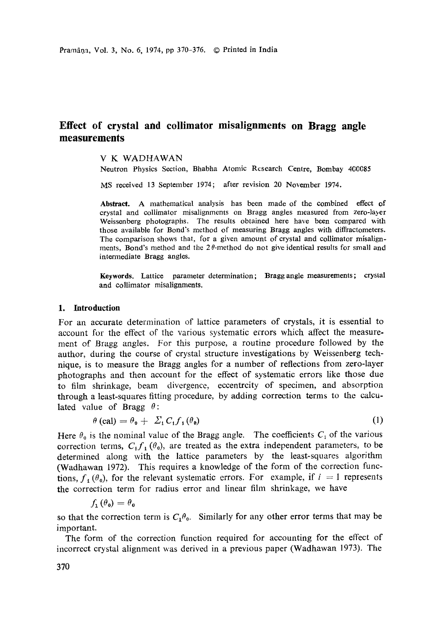# **Effect of crystal and collimator misalignments on Bragg angle measurements**

V K WADHAWAN

Neutron Physics Section, Bhabha Atomic Research Centre, Bombay 400085

MS received 13 September 1974; after revision 20 November 1974.

**Abstract.** A mathematical analysis has been made of the combined effect of crystal and collimator misalignments on Bragg angles measured from zero-layer Weissenberg photographs. The results obtained here have been compared with those available for Bond's method of measuring Bragg angles with diffractometers. The comparison shows that, for a given amount of crystal and collimator misalignments, Bond's method and the  $2\theta$ -method do not give identical results for small and intermediate Bragg angles.

**Keywords.** Lattice parameter determination; Bragg angle measurements; crystal and collimator misalignments.

#### **1. Introduction**

For an accurate determination of lattice parameters of crystals, it is essential to account for the effect of the various systematic errors which affect the measurement of Bragg angles. For this purpose, a routine procedure followed by the author, during the course of crystal structure investigations by Weissenberg technique, is to measure the Bragg angles for a number of reflections from zero-layer photographs and then account for the effect of systematic errors like those due to film shrinkage, beam divergence, eccentrcity of specimen, and absorption through a least-squares fitting procedure, by adding correction terms to the calculated value of Bragg  $\theta$ :

$$
\theta \text{ (cal)} = \theta_0 + \Sigma_1 C_1 f_1 (\theta_0) \tag{1}
$$

Here  $\theta_0$  is the nominal value of the Bragg angle. The coefficients  $C_i$  of the various correction terms,  $C_i f_i (\theta_0)$ , are treated as the extra independent parameters, to be determined along with the lattice parameters by the least-squares algorithm (Wadhawan 1972). This requires a knowledge of the form of the correction functions,  $f_1$  ( $\theta_0$ ), for the relevant systematic errors. For example, if  $i = 1$  represents the correction term for radius error and linear fihn shrinkage, we have

$$
f_{1}(\theta_{0})=\theta_{0}
$$

so that the correction term is  $C_1 \theta_0$ . Similarly for any other error terms that may be important.

The form of the correction function required for accounting for the effect of incorrect crystal alignment was derived in a previous paper (Wadhawan 1973). The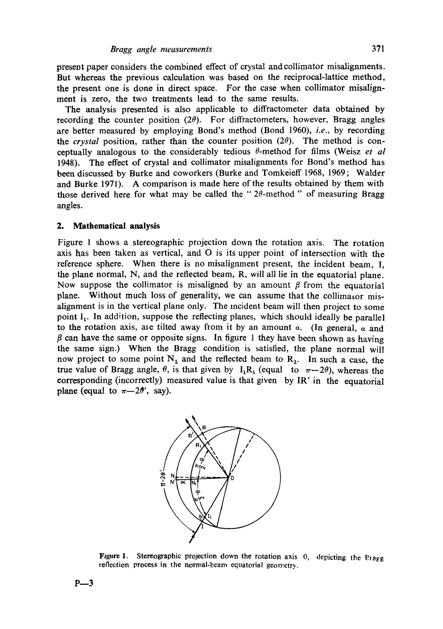present paper considers the combined effect of crystal and collimator misalignments. But whereas the previous calculation was based on the reciprocal-lattice method, the present one is done in direct space. For the case when collimator misalignment is zero, the two treatments lead to the same results.

The analysis presented is also applicable to diffractometer data obtained by recording the counter position  $(2\theta)$ . For diffractometers, however, Bragg angles are better measured by employing Bond's method (Bond 1960), *i.e.,* by recording the *crystal* position, rather than the counter position  $(2\theta)$ . The method is conceptually analogous to the considerably tedious  $\theta$ -method for films (Weisz *et al* 1948). The effect of crystal and collimator misalignments for Bond's method has been discussed by Burke and coworkers (Burke and Tomkeieff 1968, 1969; Walder and Burke 1971). A comparison is made here of the results obtained by them with those derived here for what may be called the " $2\theta$ -method" of measuring Bragg angles.

#### **2. Mathematical analysis**

Figure 1 shows a stereographic projection down the rotation axis. The rotation axis has been taken as vertical, and 0 is its upper point of intersection with the reference sphere. When there is no misalignment present, the incident beam, I, the plane normal, N, and the reflected beam, R, will all lie in the equatorial plane. Now suppose the collimator is misaligned by an amount  $\beta$  from the equatorial plane. Without much loss of generality, we can assume that the collimator misalignment is in the vertical plane only. The incident beam will then project to some point  $I_1$ . In addition, suppose the reflecting planes, which should ideally be parallel to the rotation axis, are tilted away from it by an amount  $\alpha$ . (In general,  $\alpha$  and  $\beta$  can have the same or opposite signs. In figure 1 they have been shown as having the same sign.) When the Bragg condition is satisfied, the plane normal will now project to some point  $N_1$  and the reflected beam to  $R_1$ . In such a case, the true value of Bragg angle,  $\theta$ , is that given by  $I_1R_1$  (equal to  $\pi-2\theta$ ), whereas the corresponding (incorrectly) measured value is that given by IR' in the equatorial plane (equal to  $\pi-2\theta'$ , say).



Figure 1. Stereographic projection down **the rotation** axis O, depicting the Etagg reflection process in the normal-beam equatorial geometry.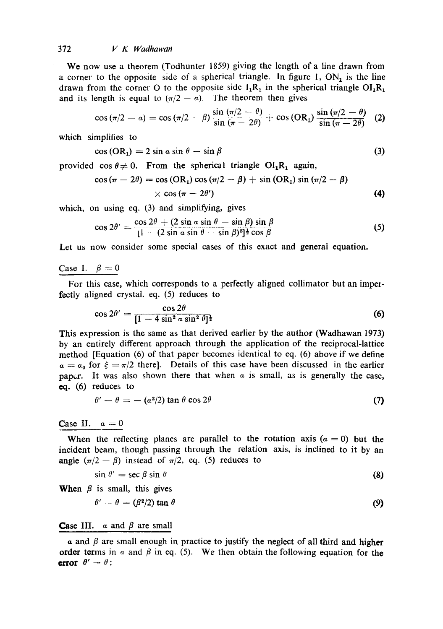## 372 *V K Wadhawan*

We now use a theorem (Todhunter 1859) giving the length of a line drawn from a corner to the opposite side of a spherical triangle. In figure 1,  $ON<sub>1</sub>$  is the line drawn from the corner O to the opposite side  $I_1R_1$  in the spherical triangle  $OI_1R_1$ and its length is equal to  $(\pi/2 - a)$ . The theorem then gives

$$
\cos (\pi/2 - a) = \cos (\pi/2 - \beta) \frac{\sin (\pi/2 - \theta)}{\sin (\pi - 2\theta)} + \cos (OR_1) \frac{\sin (\pi/2 - \theta)}{\sin (\pi - 2\theta)}
$$
 (2)

which simplifies to

$$
\cos\left(\text{OR}_1\right) = 2\sin a \sin \theta - \sin \beta \tag{3}
$$

provided cos  $\theta \neq 0$ . From the spherical triangle OI<sub>1</sub>R<sub>1</sub> again,

$$
\cos (\pi - 2\theta) = \cos (\text{OR}_1) \cos (\pi/2 - \beta) + \sin (\text{OR}_1) \sin (\pi/2 - \beta)
$$
  
 
$$
\times \cos (\pi - 2\theta')
$$
 (4)

which, on using eq. (3) and simplifying, gives

$$
\cos 2\theta' = \frac{\cos 2\theta + (2\sin a \sin \theta - \sin \beta)\sin \beta}{[1 - (2\sin a \sin \theta - \sin \beta)^2]^{\frac{1}{2}}\cos \beta}
$$
(5)

Let us now consider some special cases of this exact and general equation.

#### Case 1.  $\beta=0$

For this case, which corresponds to a perfectly aligned collimator but an imperfectly aligned crystal, eq. (5) reduces to

$$
\cos 2\theta' = \frac{\cos 2\theta}{[1 - 4\sin^2 \alpha \sin^2 \theta]^{\frac{1}{2}}}
$$
 (6)

This expression is the same as that derived earlier by the author (Wadhawan 1973) by an entirely different approach through the application of the reciprocal-lattice method [Equation (6) of that paper becomes identical to eq. (6) above if we define  $a = a_0$  for  $\xi = \pi/2$  there]. Details of this case have been discussed in the earlier pap $cr.$  It was also shown there that when  $\alpha$  is small, as is generally the case, eq. (6) reduces to

$$
\theta' - \theta = -(\alpha^2/2) \tan \theta \cos 2\theta \tag{7}
$$

Case II.  $\alpha=0$ 

When the reflecting planes are parallel to the rotation axis ( $\alpha = 0$ ) but the incident beam, though passing through the relation axis, is inclined to it by an angle  $(\pi/2 - \beta)$  instead of  $\pi/2$ , eq. (5) reduces to

$$
\sin \theta' = \sec \beta \sin \theta \tag{8}
$$

When  $\beta$  is small, this gives

$$
\theta' - \theta = (\beta^2/2) \tan \theta \tag{9}
$$

## **Case III.**  $\alpha$  and  $\beta$  are small

a and  $\beta$  are small enough in practice to justify the neglect of all third and higher **order terms** in a and  $\beta$  in eq. (5). We then obtain the following equation for the **error**  $\theta' - \theta$ :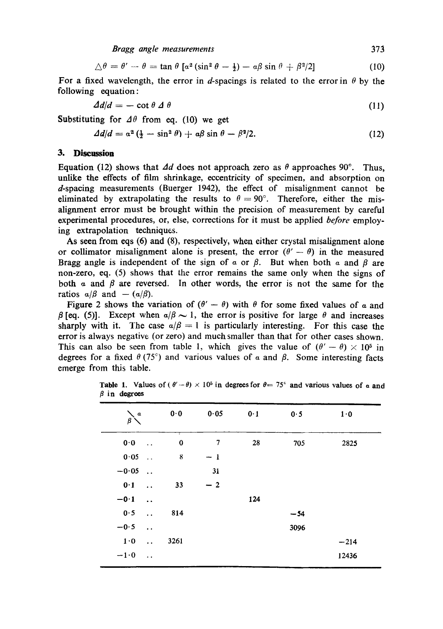*Bragg angle measurements* 373

$$
\triangle \theta = \theta' - \theta = \tan \theta \left[ \alpha^2 \left( \sin^2 \theta - \frac{1}{2} \right) - \alpha \beta \sin \theta + \beta^2 / 2 \right] \tag{10}
$$

For a fixed wavelength, the error in d-spacings is related to the error in  $\theta$  by the following equation :

$$
\Delta d/d = -\cot \theta \, \varDelta \, \theta \tag{11}
$$

Substituting for  $\Delta\theta$  from eq. (10) we get

$$
\Delta d/d = \alpha^2 \left( \frac{1}{2} - \sin^2 \theta \right) + \alpha \beta \sin \theta - \beta^2 / 2. \tag{12}
$$

#### **3. Discussion**

Equation (12) shows that  $\Delta d$  does not approach zero as  $\theta$  approaches 90°. Thus, unlike the effects of film shrinkage, eccentricity of specimen, and absorption on d-spacing measurements (Buerger 1942), the effect of misalignment cannot be eliminated by extrapolating the results to  $\theta = 90^{\circ}$ . Therefore, either the misalignment error must be brought within the precision of measurement by careful experimental procedures, or, else, corrections for it must be applied *before* employing extrapolation techniques.

As seen from eqs (6) and (8), respectively, when either crystal misalignment alone or collimator misalignment alone is present, the error  $(\theta' - \theta)$  in the measured Bragg angle is independent of the sign of  $\alpha$  or  $\beta$ . But when both  $\alpha$  and  $\beta$  are non-zero, eq. (5) shows that the error remains the same only when the signs of both  $\alpha$  and  $\beta$  are reversed. In other words, the error is not the same for the ratios  $a/\beta$  and  $-(a/\beta)$ .

Figure 2 shows the variation of  $(\theta' - \theta)$  with  $\theta$  for some fixed values of a and  $\beta$  [eq. (5)]. Except when  $a/\beta \sim 1$ , the error is positive for large  $\theta$  and increases sharply with it. The case  $a/\beta = 1$  is particularly interesting. For this case the error is always negative (or zero) and much smaller than that for other eases shown. This can also be seen from table 1, which gives the value of  $(\theta' - \theta) \times 10^5$  in degrees for a fixed  $\theta$  (75°) and various values of  $\alpha$  and  $\beta$ . Some interesting facts emerge from this table.

| $\pmb{a}$<br>$\beta$          |                      | 0.0           | 0.05 | 0.1 | 0.5   | $1 \cdot 0$ |
|-------------------------------|----------------------|---------------|------|-----|-------|-------------|
| $\mathbf{0} \cdot \mathbf{0}$ | $\ddotsc$            | τ<br>$\bf{0}$ | 7    | 28  | 705   | 2825        |
| 0.05                          | $\ddot{\phantom{a}}$ | 8             | $-1$ |     |       |             |
| $-0.05$                       | $\ddot{\phantom{a}}$ |               | 31   |     |       |             |
| 0.1                           | $\ddot{\phantom{a}}$ | 33            | $-2$ |     |       |             |
| $-0.1$                        | $\ddot{\phantom{a}}$ |               |      | 124 |       |             |
| 0.5                           | $\ddot{\phantom{a}}$ | 814           |      |     | $-54$ |             |
| $-0.5$                        | $\ddot{\phantom{a}}$ |               |      |     | 3096  |             |
| 1.0                           | $\ddot{\phantom{a}}$ | 3261          |      |     |       | $-214$      |
| $-1.0$                        | $\epsilon$ .         |               |      |     |       | 12436       |
|                               |                      |               |      |     |       |             |

**Table 1.** Values of ( $\theta' - \theta$ ) × 10<sup>5</sup> in degrees for  $\theta = 75^\circ$  and various values of a and  $\beta$  in degrees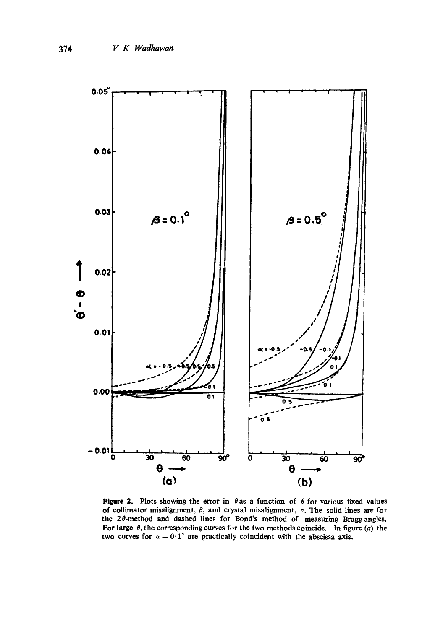

**Figure 2.** Plots showing the error in  $\theta$  as a function of  $\theta$  for various fixed values of collimator misalignment,  $\beta$ , and crystal misalignment,  $\alpha$ . The solid lines are for the 20-method and dashed lines for Bond's method of measuring Braggangles. For large  $\theta$ , the corresponding curves for the two methods coincide. In figure (a) the two curves for  $\alpha = 0.1^{\circ}$  are practically coincident with the abscissa axis.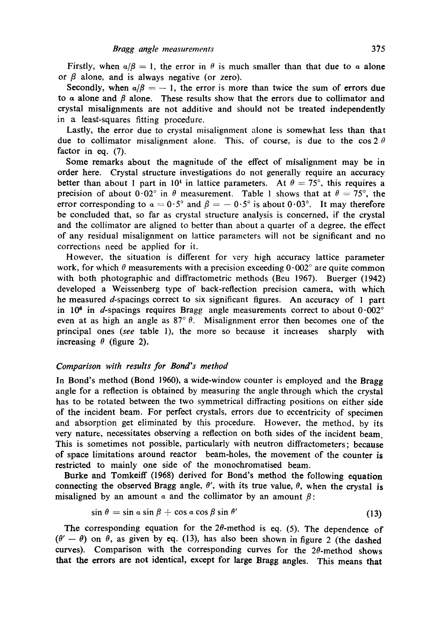Firstly, when  $\alpha/\beta = 1$ , the error in  $\theta$  is much smaller than that due to  $\alpha$  alone or  $\beta$  alone, and is always negative (or zero).

Secondly, when  $a/\beta = -1$ , the error is more than twice the sum of errors due to  $\alpha$  alone and  $\beta$  alone. These results show that the errors due to collimator and crystal misalignments are not additive and should not be treated independently in a least-squares fitting procedure.

Lastly, the error due to crystal misalignment alone is somewhat less than that due to collimator misalignment alone. This, of course, is due to the cos 2  $\theta$ factor in eq.  $(7)$ .

Some remarks about the magnitude of the effect of misalignment may be in order here. Crystal structure investigations do not generally require an accuracy better than about 1 part in 10<sup>4</sup> in lattice parameters. At  $\theta = 75^{\circ}$ , this requires a precision of about  $0.02^{\circ}$  in  $\theta$  measurement. Table 1 shows that at  $\theta = 75^{\circ}$ , the error corresponding to  $\alpha = 0.5^{\circ}$  and  $\beta = -0.5^{\circ}$  is about  $0.03^{\circ}$ . It may therefore be concluded that, so far as crystal structure analysis is concerned, if the crystal and the collimator are aligned to better than about a quarter of a degree, the effect of any residual misalignment on lattice parameters will not be significant and no corrections need be applied for it.

However, the situation is different for very high accuracy lattice parameter work, for which  $\theta$  measurements with a precision exceeding  $0.002^{\circ}$  are quite common with both photographic and diffractometric methods (Beu 1967). Buerger (1942) developed a Weissenberg type of back-reflection precision camera, with which he measured d-spacings correct to six significant figures. An accuracy of 1 part in 10<sup> $\epsilon$ </sup> in *d*-spacings requires Bragg angle measurements correct to about  $0.002^{\circ}$ even at as high an angle as  $87^\circ$   $\theta$ . Misalignment error then becomes one of the principal ones *(see* table 1), the more so because it incleases sharply with increasing  $\theta$  (figure 2).

# *Comparison with results for Bond's method*

In Bond's method (Bond 1960), a wide-window counter is employed and the Bragg angle for a reflection is obtained by measuring the angle through which the crystal has to be rotated between the two symmetrical diffracting positions on either side of the incident beam. For perfect crystals, errors due to eccentricity of specimen and absorption get eliminated by this procedure. However, the method, by its very nature, necessitates observing a reflection on both sides of the incident beam. This is sometimes not possible, particularly with neutron diffractometers; because **of** space limitations around reactor beam-holes, the movement of the counter is restricted to mainly one side of the monochromatised beam.

Burke and Tomkeiff (1968) derived for Bond's method the following equation connecting the observed Bragg angle,  $\theta'$ , with its true value,  $\theta$ , when the crystal is misaligned by an amount  $\alpha$  and the collimator by an amount  $\beta$ :

$$
\sin \theta = \sin a \sin \beta + \cos a \cos \beta \sin \theta' \tag{13}
$$

The corresponding equation for the  $2\theta$ -method is eq. (5). The dependence of  $(\theta' - \theta)$  on  $\theta$ , as given by eq. (13), has also been shown in figure 2 (the dashed curves). Comparison with the corresponding curves for the  $2\theta$ -method shows that the errors are not identical, except for large Bragg angles. This means **that**